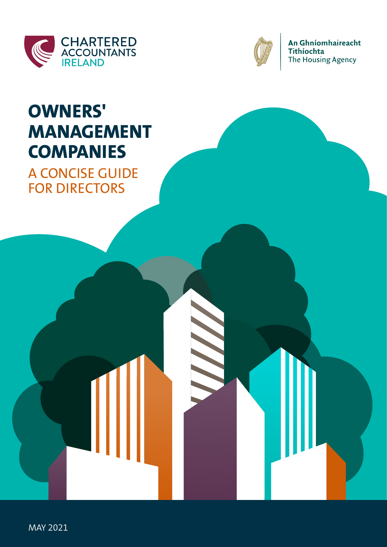



An Ghníomhaireacht Tithíochta The Housing Agency

# **OWNERS' MANAGEMENT COMPANIES**

A CONCISE GUIDE FOR DIRECTORS

MAY 2021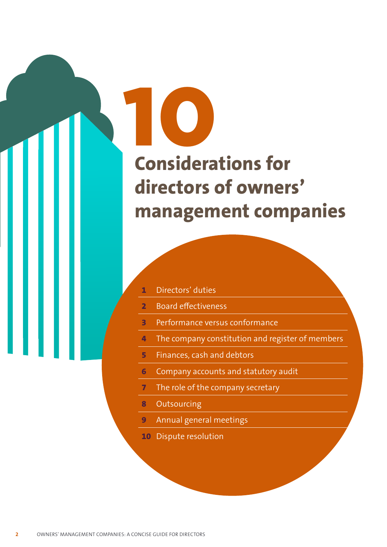# **1 Considerations for directors of owners' management companies**

| Directors' duties |  |  |
|-------------------|--|--|
|                   |  |  |

0

- **2** Board effectiveness
- **3** Performance versus conformance
- **4** The company constitution and register of members
- **5** Finances, cash and debtors
- **6** Company accounts and statutory audit
- **7** The role of the company secretary
- **8 Outsourcing**
- **9** Annual general meetings
- **10** Dispute resolution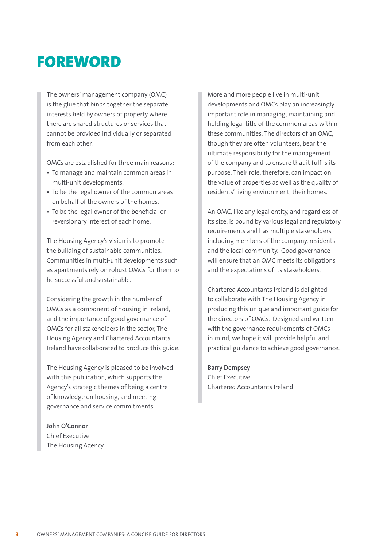### FOREWORD

The owners' management company (OMC) is the glue that binds together the separate interests held by owners of property where there are shared structures or services that cannot be provided individually or separated from each other.

OMCs are established for three main reasons:

- To manage and maintain common areas in multi-unit developments.
- To be the legal owner of the common areas on behalf of the owners of the homes.
- To be the legal owner of the beneficial or reversionary interest of each home.

The Housing Agency's vision is to promote the building of sustainable communities. Communities in multi-unit developments such as apartments rely on robust OMCs for them to be successful and sustainable.

Considering the growth in the number of OMCs as a component of housing in Ireland, and the importance of good governance of OMCs for all stakeholders in the sector, The Housing Agency and Chartered Accountants Ireland have collaborated to produce this guide.

The Housing Agency is pleased to be involved with this publication, which supports the Agency's strategic themes of being a centre of knowledge on housing, and meeting governance and service commitments.

#### **John O'Connor** Chief Executive The Housing Agency

More and more people live in multi-unit developments and OMCs play an increasingly important role in managing, maintaining and holding legal title of the common areas within these communities. The directors of an OMC, though they are often volunteers, bear the ultimate responsibility for the management of the company and to ensure that it fulfils its purpose. Their role, therefore, can impact on the value of properties as well as the quality of residents' living environment, their homes.

An OMC, like any legal entity, and regardless of its size, is bound by various legal and regulatory requirements and has multiple stakeholders, including members of the company, residents and the local community. Good governance will ensure that an OMC meets its obligations and the expectations of its stakeholders.

Chartered Accountants Ireland is delighted to collaborate with The Housing Agency in producing this unique and important guide for the directors of OMCs. Designed and written with the governance requirements of OMCs in mind, we hope it will provide helpful and practical guidance to achieve good governance.

#### **Barry Dempsey**

Chief Executive Chartered Accountants Ireland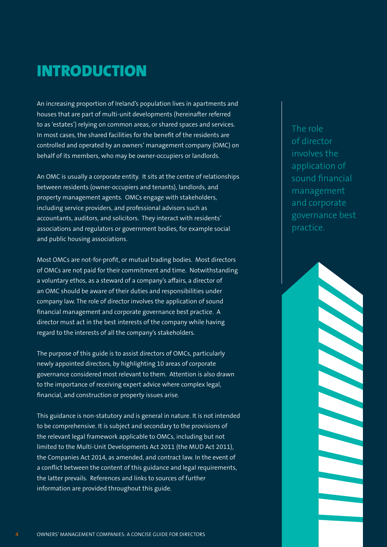### INTRODUCTION

An increasing proportion of Ireland's population lives in apartments and houses that are part of multi-unit developments (hereinafter referred to as 'estates') relying on common areas, or shared spaces and services. In most cases, the shared facilities for the benefit of the residents are controlled and operated by an owners' management company (OMC) on behalf of its members, who may be owner-occupiers or landlords.

An OMC is usually a corporate entity. It sits at the centre of relationships between residents (owner-occupiers and tenants), landlords, and property management agents. OMCs engage with stakeholders, including service providers, and professional advisors such as accountants, auditors, and solicitors. They interact with residents' associations and regulators or government bodies, for example social and public housing associations.

Most OMCs are not-for-profit, or mutual trading bodies. Most directors of OMCs are not paid for their commitment and time. Notwithstanding a voluntary ethos, as a steward of a company's affairs, a director of an OMC should be aware of their duties and responsibilities under company law. The role of director involves the application of sound financial management and corporate governance best practice. A director must act in the best interests of the company while having regard to the interests of all the company's stakeholders.

The purpose of this guide is to assist directors of OMCs, particularly newly appointed directors, by highlighting 10 areas of corporate governance considered most relevant to them. Attention is also drawn to the importance of receiving expert advice where complex legal, financial, and construction or property issues arise.

This guidance is non-statutory and is general in nature. It is not intended to be comprehensive. It is subject and secondary to the provisions of the relevant legal framework applicable to OMCs, including but not limited to the Multi-Unit Developments Act 2011 (the MUD Act 2011), the Companies Act 2014, as amended, and contract law. In the event of a conflict between the content of this guidance and legal requirements, the latter prevails. References and links to sources of further information are provided throughout this guide.

The role of director involves the application of sound financial management and corporate governance best practice.

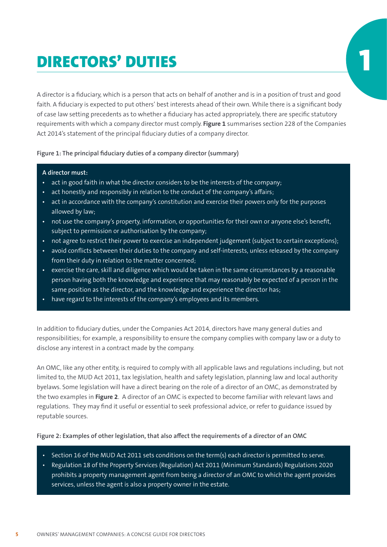### DIRECTORS' DUTIES

A director is a fiduciary, which is a person that acts on behalf of another and is in a position of trust and good faith. A fiduciary is expected to put others' best interests ahead of their own. While there is a significant body of case law setting precedents as to whether a fiduciary has acted appropriately, there are specific statutory requirements with which a company director must comply. **Figure 1** summarises section 228 of the Companies Act 2014's statement of the principal fiduciary duties of a company director.

#### **Figure 1: The principal fiduciary duties of a company director (summary)**

#### **A director must:**

- **•** act in good faith in what the director considers to be the interests of the company;
- **•** act honestly and responsibly in relation to the conduct of the company's affairs;
- **•** act in accordance with the company's constitution and exercise their powers only for the purposes allowed by law;
- **•** not use the company's property, information, or opportunities for their own or anyone else's benefit, subject to permission or authorisation by the company;
- **•** not agree to restrict their power to exercise an independent judgement (subject to certain exceptions);
- **•** avoid conflicts between their duties to the company and self-interests, unless released by the company from their duty in relation to the matter concerned;
- **•** exercise the care, skill and diligence which would be taken in the same circumstances by a reasonable person having both the knowledge and experience that may reasonably be expected of a person in the same position as the director, and the knowledge and experience the director has;
- **•** have regard to the interests of the company's employees and its members.

In addition to fiduciary duties, under the Companies Act 2014, directors have many general duties and responsibilities; for example, a responsibility to ensure the company complies with company law or a duty to disclose any interest in a contract made by the company.

An OMC, like any other entity, is required to comply with all applicable laws and regulations including, but not limited to, the MUD Act 2011, tax legislation, health and safety legislation, planning law and local authority byelaws. Some legislation will have a direct bearing on the role of a director of an OMC, as demonstrated by the two examples in **Figure 2**. A director of an OMC is expected to become familiar with relevant laws and regulations. They may find it useful or essential to seek professional advice, or refer to guidance issued by reputable sources.

#### **Figure 2: Examples of other legislation, that also affect the requirements of a director of an OMC**

- Section 16 of the MUD Act 2011 sets conditions on the term(s) each director is permitted to serve.
- Regulation 18 of the Property Services (Regulation) Act 2011 (Minimum Standards) Regulations 2020 prohibits a property management agent from being a director of an OMC to which the agent provides services, unless the agent is also a property owner in the estate.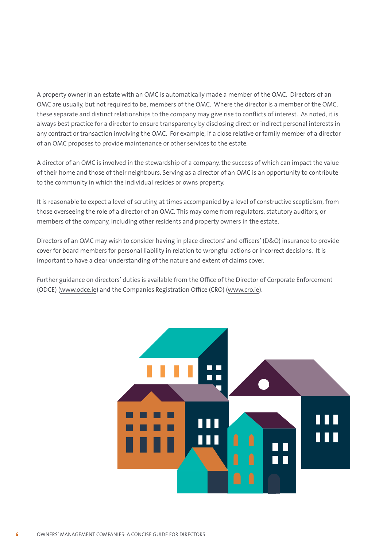A property owner in an estate with an OMC is automatically made a member of the OMC. Directors of an OMC are usually, but not required to be, members of the OMC. Where the director is a member of the OMC, these separate and distinct relationships to the company may give rise to conflicts of interest. As noted, it is always best practice for a director to ensure transparency by disclosing direct or indirect personal interests in any contract or transaction involving the OMC. For example, if a close relative or family member of a director of an OMC proposes to provide maintenance or other services to the estate.

A director of an OMC is involved in the stewardship of a company, the success of which can impact the value of their home and those of their neighbours. Serving as a director of an OMC is an opportunity to contribute to the community in which the individual resides or owns property.

It is reasonable to expect a level of scrutiny, at times accompanied by a level of constructive scepticism, from those overseeing the role of a director of an OMC. This may come from regulators, statutory auditors, or members of the company, including other residents and property owners in the estate.

Directors of an OMC may wish to consider having in place directors' and officers' (D&O) insurance to provide cover for board members for personal liability in relation to wrongful actions or incorrect decisions. It is important to have a clear understanding of the nature and extent of claims cover.

Further guidance on directors' duties is available from the Office of the Director of Corporate Enforcement (ODCE) (www.odce.ie) and the Companies Registration Office (CRO) (www.cro.ie).

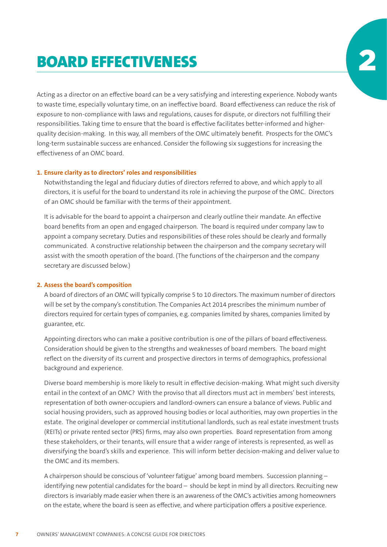### **BOARD EFFECTIVENESS**

Acting as a director on an effective board can be a very satisfying and interesting experience. Nobody wants to waste time, especially voluntary time, on an ineffective board. Board effectiveness can reduce the risk of exposure to non-compliance with laws and regulations, causes for dispute, or directors not fulfilling their responsibilities. Taking time to ensure that the board is effective facilitates better-informed and higherquality decision-making. In this way, all members of the OMC ultimately benefit. Prospects for the OMC's long-term sustainable success are enhanced. Consider the following six suggestions for increasing the effectiveness of an OMC board.

#### **1. Ensure clarity as to directors' roles and responsibilities**

Notwithstanding the legal and fiduciary duties of directors referred to above, and which apply to all directors, it is useful for the board to understand its role in achieving the purpose of the OMC. Directors of an OMC should be familiar with the terms of their appointment.

It is advisable for the board to appoint a chairperson and clearly outline their mandate. An effective board benefits from an open and engaged chairperson. The board is required under company law to appoint a company secretary. Duties and responsibilities of these roles should be clearly and formally communicated. A constructive relationship between the chairperson and the company secretary will assist with the smooth operation of the board. (The functions of the chairperson and the company secretary are discussed below.)

#### **2. Assess the board's composition**

A board of directors of an OMC will typically comprise 5 to 10 directors. The maximum number of directors will be set by the company's constitution. The Companies Act 2014 prescribes the minimum number of directors required for certain types of companies, e.g. companies limited by shares, companies limited by guarantee, etc.

Appointing directors who can make a positive contribution is one of the pillars of board effectiveness. Consideration should be given to the strengths and weaknesses of board members. The board might reflect on the diversity of its current and prospective directors in terms of demographics, professional background and experience.

Diverse board membership is more likely to result in effective decision-making. What might such diversity entail in the context of an OMC? With the proviso that all directors must act in members' best interests, representation of both owner-occupiers and landlord-owners can ensure a balance of views. Public and social housing providers, such as approved housing bodies or local authorities, may own properties in the estate. The original developer or commercial institutional landlords, such as real estate investment trusts (REITs) or private rented sector (PRS) firms, may also own properties. Board representation from among these stakeholders, or their tenants, will ensure that a wider range of interests is represented, as well as diversifying the board's skills and experience. This will inform better decision-making and deliver value to the OMC and its members.

A chairperson should be conscious of 'volunteer fatigue' among board members. Succession planning – identifying new potential candidates for the board – should be kept in mind by all directors. Recruiting new directors is invariably made easier when there is an awareness of the OMC's activities among homeowners on the estate, where the board is seen as effective, and where participation offers a positive experience.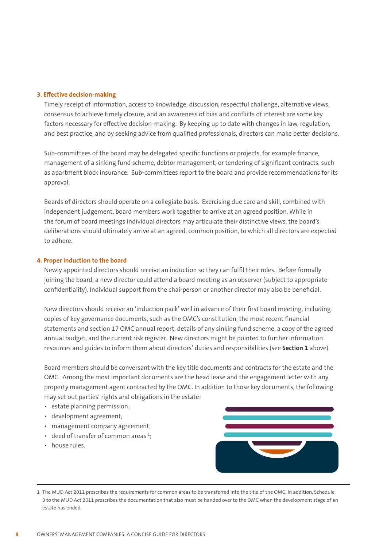#### **3. Effective decision-making**

Timely receipt of information, access to knowledge, discussion, respectful challenge, alternative views, consensus to achieve timely closure, and an awareness of bias and conflicts of interest are some key factors necessary for effective decision-making. By keeping up to date with changes in law, regulation, and best practice, and by seeking advice from qualified professionals, directors can make better decisions.

Sub-committees of the board may be delegated specific functions or projects, for example finance, management of a sinking fund scheme, debtor management, or tendering of significant contracts, such as apartment block insurance. Sub-committees report to the board and provide recommendations for its approval.

Boards of directors should operate on a collegiate basis. Exercising due care and skill, combined with independent judgement, board members work together to arrive at an agreed position. While in the forum of board meetings individual directors may articulate their distinctive views, the board's deliberations should ultimately arrive at an agreed, common position, to which all directors are expected to adhere.

#### **4. Proper induction to the board**

Newly appointed directors should receive an induction so they can fulfil their roles. Before formally joining the board, a new director could attend a board meeting as an observer (subject to appropriate confidentiality). Individual support from the chairperson or another director may also be beneficial.

New directors should receive an 'induction pack' well in advance of their first board meeting, including copies of key governance documents, such as the OMC's constitution, the most recent financial statements and section 17 OMC annual report, details of any sinking fund scheme, a copy of the agreed annual budget, and the current risk register. New directors might be pointed to further information resources and guides to inform them about directors' duties and responsibilities (see **Section 1** above).

Board members should be conversant with the key title documents and contracts for the estate and the OMC. Among the most important documents are the head lease and the engagement letter with any property management agent contracted by the OMC. In addition to those key documents, the following may set out parties' rights and obligations in the estate:

- estate planning permission;
- development agreement;
- management company agreement;
- deed of transfer of common areas  $1$ ;
- house rules.



<sup>1</sup> The MUD Act 2011 prescribes the requirements for common areas to be transferred into the title of the OMC. In addition, Schedule 3 to the MUD Act 2011 prescribes the documentation that also must be handed over to the OMC when the development stage of an estate has ended.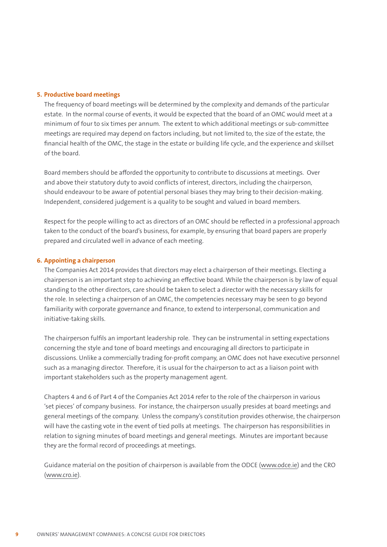#### **5. Productive board meetings**

The frequency of board meetings will be determined by the complexity and demands of the particular estate. In the normal course of events, it would be expected that the board of an OMC would meet at a minimum of four to six times per annum. The extent to which additional meetings or sub-committee meetings are required may depend on factors including, but not limited to, the size of the estate, the financial health of the OMC, the stage in the estate or building life cycle, and the experience and skillset of the board.

Board members should be afforded the opportunity to contribute to discussions at meetings. Over and above their statutory duty to avoid conflicts of interest, directors, including the chairperson, should endeavour to be aware of potential personal biases they may bring to their decision-making. Independent, considered judgement is a quality to be sought and valued in board members.

Respect for the people willing to act as directors of an OMC should be reflected in a professional approach taken to the conduct of the board's business, for example, by ensuring that board papers are properly prepared and circulated well in advance of each meeting.

#### **6. Appointing a chairperson**

The Companies Act 2014 provides that directors may elect a chairperson of their meetings. Electing a chairperson is an important step to achieving an effective board. While the chairperson is by law of equal standing to the other directors, care should be taken to select a director with the necessary skills for the role. In selecting a chairperson of an OMC, the competencies necessary may be seen to go beyond familiarity with corporate governance and finance, to extend to interpersonal, communication and initiative-taking skills.

The chairperson fulfils an important leadership role. They can be instrumental in setting expectations concerning the style and tone of board meetings and encouraging all directors to participate in discussions. Unlike a commercially trading for-profit company, an OMC does not have executive personnel such as a managing director. Therefore, it is usual for the chairperson to act as a liaison point with important stakeholders such as the property management agent.

Chapters 4 and 6 of Part 4 of the Companies Act 2014 refer to the role of the chairperson in various 'set pieces' of company business. For instance, the chairperson usually presides at board meetings and general meetings of the company. Unless the company's constitution provides otherwise, the chairperson will have the casting vote in the event of tied polls at meetings. The chairperson has responsibilities in relation to signing minutes of board meetings and general meetings. Minutes are important because they are the formal record of proceedings at meetings.

Guidance material on the position of chairperson is available from the ODCE (www.odce.ie) and the CRO (www.cro.ie).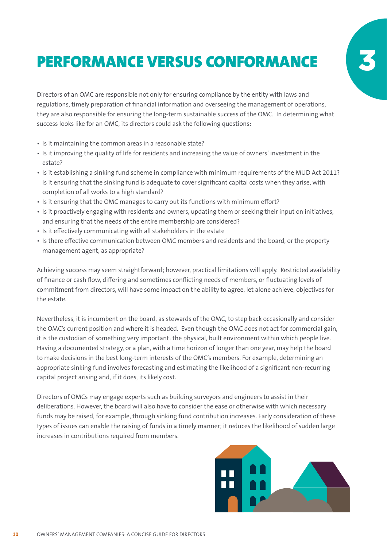# PERFORMANCE VERSUS CONFORMANCE

Directors of an OMC are responsible not only for ensuring compliance by the entity with laws and regulations, timely preparation of financial information and overseeing the management of operations, they are also responsible for ensuring the long-term sustainable success of the OMC. In determining what success looks like for an OMC, its directors could ask the following questions:

- Is it maintaining the common areas in a reasonable state?
- Is it improving the quality of life for residents and increasing the value of owners' investment in the estate?
- Is it establishing a sinking fund scheme in compliance with minimum requirements of the MUD Act 2011? Is it ensuring that the sinking fund is adequate to cover significant capital costs when they arise, with completion of all works to a high standard?
- Is it ensuring that the OMC manages to carry out its functions with minimum effort?
- Is it proactively engaging with residents and owners, updating them or seeking their input on initiatives, and ensuring that the needs of the entire membership are considered?
- Is it effectively communicating with all stakeholders in the estate
- Is there effective communication between OMC members and residents and the board, or the property management agent, as appropriate?

Achieving success may seem straightforward; however, practical limitations will apply. Restricted availability of finance or cash flow, differing and sometimes conflicting needs of members, or fluctuating levels of commitment from directors, will have some impact on the ability to agree, let alone achieve, objectives for the estate.

Nevertheless, it is incumbent on the board, as stewards of the OMC, to step back occasionally and consider the OMC's current position and where it is headed. Even though the OMC does not act for commercial gain, it is the custodian of something very important: the physical, built environment within which people live. Having a documented strategy, or a plan, with a time horizon of longer than one year, may help the board to make decisions in the best long-term interests of the OMC's members. For example, determining an appropriate sinking fund involves forecasting and estimating the likelihood of a significant non-recurring capital project arising and, if it does, its likely cost.

Directors of OMCs may engage experts such as building surveyors and engineers to assist in their deliberations. However, the board will also have to consider the ease or otherwise with which necessary funds may be raised, for example, through sinking fund contribution increases. Early consideration of these types of issues can enable the raising of funds in a timely manner; it reduces the likelihood of sudden large increases in contributions required from members.

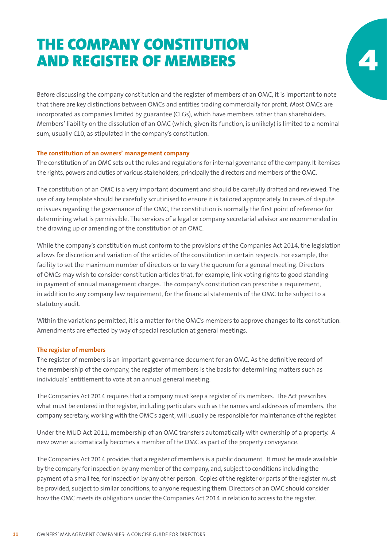### THE COMPANY CONSTITUTION **AND REGISTER OF MEMBERS**

Before discussing the company constitution and the register of members of an OMC, it is important to note that there are key distinctions between OMCs and entities trading commercially for profit. Most OMCs are incorporated as companies limited by guarantee (CLGs), which have members rather than shareholders. Members' liability on the dissolution of an OMC (which, given its function, is unlikely) is limited to a nominal sum, usually €10, as stipulated in the company's constitution.

#### **The constitution of an owners' management company**

The constitution of an OMC sets out the rules and regulations for internal governance of the company. It itemises the rights, powers and duties of various stakeholders, principally the directors and members of the OMC.

The constitution of an OMC is a very important document and should be carefully drafted and reviewed. The use of any template should be carefully scrutinised to ensure it is tailored appropriately. In cases of dispute or issues regarding the governance of the OMC, the constitution is normally the first point of reference for determining what is permissible. The services of a legal or company secretarial advisor are recommended in the drawing up or amending of the constitution of an OMC.

While the company's constitution must conform to the provisions of the Companies Act 2014, the legislation allows for discretion and variation of the articles of the constitution in certain respects. For example, the facility to set the maximum number of directors or to vary the quorum for a general meeting. Directors of OMCs may wish to consider constitution articles that, for example, link voting rights to good standing in payment of annual management charges. The company's constitution can prescribe a requirement, in addition to any company law requirement, for the financial statements of the OMC to be subject to a statutory audit.

Within the variations permitted, it is a matter for the OMC's members to approve changes to its constitution. Amendments are effected by way of special resolution at general meetings.

#### **The register of members**

The register of members is an important governance document for an OMC. As the definitive record of the membership of the company, the register of members is the basis for determining matters such as individuals' entitlement to vote at an annual general meeting.

The Companies Act 2014 requires that a company must keep a register of its members. The Act prescribes what must be entered in the register, including particulars such as the names and addresses of members. The company secretary, working with the OMC's agent, will usually be responsible for maintenance of the register.

Under the MUD Act 2011, membership of an OMC transfers automatically with ownership of a property. A new owner automatically becomes a member of the OMC as part of the property conveyance.

The Companies Act 2014 provides that a register of members is a public document. It must be made available by the company for inspection by any member of the company, and, subject to conditions including the payment of a small fee, for inspection by any other person. Copies of the register or parts of the register must be provided, subject to similar conditions, to anyone requesting them. Directors of an OMC should consider how the OMC meets its obligations under the Companies Act 2014 in relation to access to the register.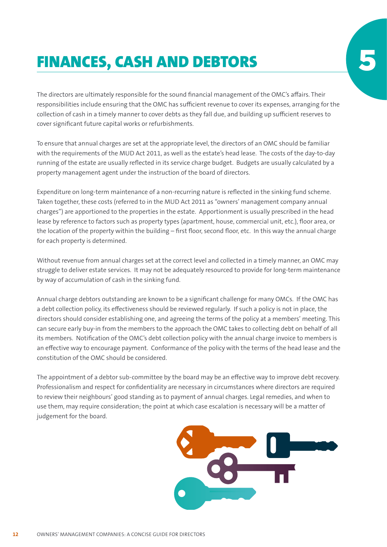# **FINANCES, CASH AND DEBTORS**

The directors are ultimately responsible for the sound financial management of the OMC's affairs. Their responsibilities include ensuring that the OMC has sufficient revenue to cover its expenses, arranging for the collection of cash in a timely manner to cover debts as they fall due, and building up sufficient reserves to cover significant future capital works or refurbishments.

To ensure that annual charges are set at the appropriate level, the directors of an OMC should be familiar with the requirements of the MUD Act 2011, as well as the estate's head lease. The costs of the day-to-day running of the estate are usually reflected in its service charge budget. Budgets are usually calculated by a property management agent under the instruction of the board of directors.

Expenditure on long-term maintenance of a non-recurring nature is reflected in the sinking fund scheme. Taken together, these costs (referred to in the MUD Act 2011 as "owners' management company annual charges") are apportioned to the properties in the estate. Apportionment is usually prescribed in the head lease by reference to factors such as property types (apartment, house, commercial unit, etc.), floor area, or the location of the property within the building – first floor, second floor, etc. In this way the annual charge for each property is determined.

Without revenue from annual charges set at the correct level and collected in a timely manner, an OMC may struggle to deliver estate services. It may not be adequately resourced to provide for long-term maintenance by way of accumulation of cash in the sinking fund.

Annual charge debtors outstanding are known to be a significant challenge for many OMCs. If the OMC has a debt collection policy, its effectiveness should be reviewed regularly. If such a policy is not in place, the directors should consider establishing one, and agreeing the terms of the policy at a members' meeting. This can secure early buy-in from the members to the approach the OMC takes to collecting debt on behalf of all its members. Notification of the OMC's debt collection policy with the annual charge invoice to members is an effective way to encourage payment. Conformance of the policy with the terms of the head lease and the constitution of the OMC should be considered.

The appointment of a debtor sub-committee by the board may be an effective way to improve debt recovery. Professionalism and respect for confidentiality are necessary in circumstances where directors are required to review their neighbours' good standing as to payment of annual charges. Legal remedies, and when to use them, may require consideration; the point at which case escalation is necessary will be a matter of judgement for the board.

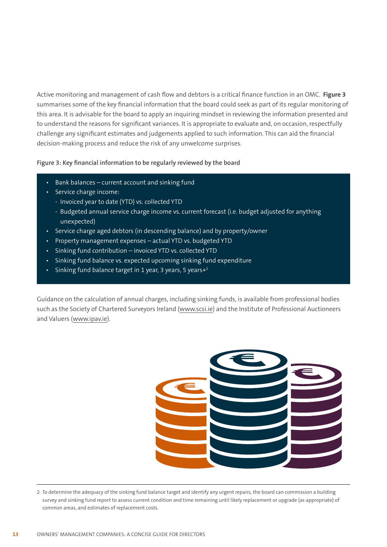Active monitoring and management of cash flow and debtors is a critical finance function in an OMC. **Figure 3** summarises some of the key financial information that the board could seek as part of its regular monitoring of this area. It is advisable for the board to apply an inquiring mindset in reviewing the information presented and to understand the reasons for significant variances. It is appropriate to evaluate and, on occasion, respectfully challenge any significant estimates and judgements applied to such information. This can aid the financial decision-making process and reduce the risk of any unwelcome surprises.

#### **Figure 3: Key financial information to be regularly reviewed by the board**

- Bank balances current account and sinking fund
- Service charge income:
	- Invoiced year to date (YTD) vs. collected YTD
	- Budgeted annual service charge income vs. current forecast (i.e. budget adjusted for anything unexpected)
- Service charge aged debtors (in descending balance) and by property/owner
- Property management expenses actual YTD vs. budgeted YTD
- Sinking fund contribution invoiced YTD vs. collected YTD
- Sinking fund balance vs. expected upcoming sinking fund expenditure
- Sinking fund balance target in 1 year, 3 years, 5 years $+2$

Guidance on the calculation of annual charges, including sinking funds, is available from professional bodies such as the Society of Chartered Surveyors Ireland (www.scsi.ie) and the Institute of Professional Auctioneers and Valuers (www.ipav.ie).



<sup>2</sup> To determine the adequacy of the sinking fund balance target and identify any urgent repairs, the board can commission a building survey and sinking fund report to assess current condition and time remaining until likely replacement or upgrade (as appropriate) of common areas, and estimates of replacement costs.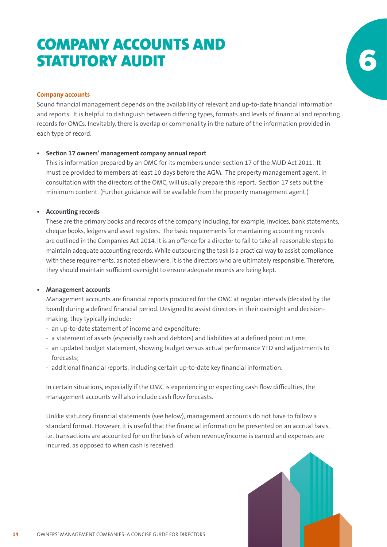### COMPANY ACCOUNTS AND **STATUTORY AUDIT**

#### **Company accounts**

Sound financial management depends on the availability of relevant and up-to-date financial information and reports. It is helpful to distinguish between differing types, formats and levels of financial and reporting records for OMCs. Inevitably, there is overlap or commonality in the nature of the information provided in each type of record.

#### **• Section 17 owners' management company annual report**

This is information prepared by an OMC for its members under section 17 of the MUD Act 2011. It must be provided to members at least 10 days before the AGM. The property management agent, in consultation with the directors of the OMC, will usually prepare this report. Section 17 sets out the minimum content. (Further guidance will be available from the property management agent.)

#### **• Accounting records**

These are the primary books and records of the company, including, for example, invoices, bank statements, cheque books, ledgers and asset registers. The basic requirements for maintaining accounting records are outlined in the Companies Act 2014. It is an offence for a director to fail to take all reasonable steps to maintain adequate accounting records. While outsourcing the task is a practical way to assist compliance with these requirements, as noted elsewhere, it is the directors who are ultimately responsible. Therefore, they should maintain sufficient oversight to ensure adequate records are being kept.

#### **• Management accounts**

Management accounts are financial reports produced for the OMC at regular intervals (decided by the board) during a defined financial period. Designed to assist directors in their oversight and decisionmaking, they typically include:

- an up-to-date statement of income and expenditure;
- a statement of assets (especially cash and debtors) and liabilities at a defined point in time;
- an updated budget statement, showing budget versus actual performance YTD and adjustments to forecasts;
- additional financial reports, including certain up-to-date key financial information.

In certain situations, especially if the OMC is experiencing or expecting cash flow difficulties, the management accounts will also include cash flow forecasts.

Unlike statutory financial statements (see below), management accounts do not have to follow a standard format. However, it is useful that the financial information be presented on an accrual basis, i.e. transactions are accounted for on the basis of when revenue/income is earned and expenses are incurred, as opposed to when cash is received.

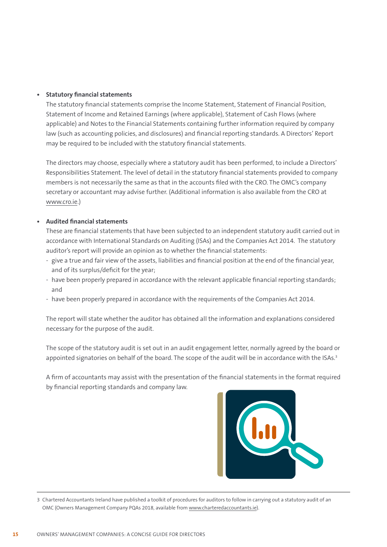#### **• Statutory financial statements**

The statutory financial statements comprise the Income Statement, Statement of Financial Position, Statement of Income and Retained Earnings (where applicable), Statement of Cash Flows (where applicable) and Notes to the Financial Statements containing further information required by company law (such as accounting policies, and disclosures) and financial reporting standards. A Directors' Report may be required to be included with the statutory financial statements.

The directors may choose, especially where a statutory audit has been performed, to include a Directors' Responsibilities Statement. The level of detail in the statutory financial statements provided to company members is not necessarily the same as that in the accounts filed with the CRO. The OMC's company secretary or accountant may advise further. (Additional information is also available from the CRO at www.cro.ie.)

#### **• Audited financial statements**

These are financial statements that have been subjected to an independent statutory audit carried out in accordance with International Standards on Auditing (ISAs) and the Companies Act 2014. The statutory auditor's report will provide an opinion as to whether the financial statements:

- give a true and fair view of the assets, liabilities and financial position at the end of the financial year, and of its surplus/deficit for the year;
- have been properly prepared in accordance with the relevant applicable financial reporting standards; and
- have been properly prepared in accordance with the requirements of the Companies Act 2014.

The report will state whether the auditor has obtained all the information and explanations considered necessary for the purpose of the audit.

The scope of the statutory audit is set out in an audit engagement letter, normally agreed by the board or appointed signatories on behalf of the board. The scope of the audit will be in accordance with the ISAs.<sup>3</sup>

A firm of accountants may assist with the presentation of the financial statements in the format required by financial reporting standards and company law.



<sup>3</sup> Chartered Accountants Ireland have published a toolkit of procedures for auditors to follow in carrying out a statutory audit of an OMC (Owners Management Company PQAs 2018, available from www.charteredaccountants.ie).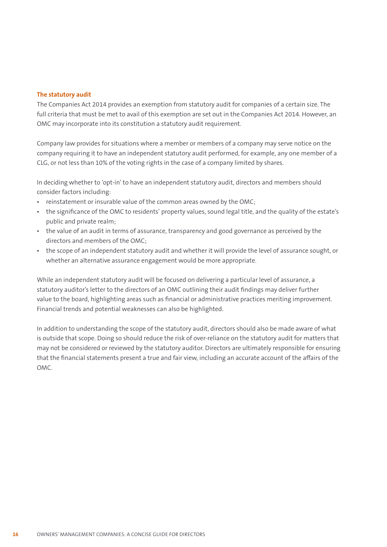#### **The statutory audit**

The Companies Act 2014 provides an exemption from statutory audit for companies of a certain size. The full criteria that must be met to avail of this exemption are set out in the Companies Act 2014. However, an OMC may incorporate into its constitution a statutory audit requirement.

Company law provides for situations where a member or members of a company may serve notice on the company requiring it to have an independent statutory audit performed, for example, any one member of a CLG, or not less than 10% of the voting rights in the case of a company limited by shares.

In deciding whether to 'opt-in' to have an independent statutory audit, directors and members should consider factors including:

- **•** reinstatement or insurable value of the common areas owned by the OMC;
- **•** the significance of the OMC to residents' property values, sound legal title, and the quality of the estate's public and private realm;
- **•** the value of an audit in terms of assurance, transparency and good governance as perceived by the directors and members of the OMC;
- **•** the scope of an independent statutory audit and whether it will provide the level of assurance sought, or whether an alternative assurance engagement would be more appropriate.

While an independent statutory audit will be focused on delivering a particular level of assurance, a statutory auditor's letter to the directors of an OMC outlining their audit findings may deliver further value to the board, highlighting areas such as financial or administrative practices meriting improvement. Financial trends and potential weaknesses can also be highlighted.

In addition to understanding the scope of the statutory audit, directors should also be made aware of what is outside that scope. Doing so should reduce the risk of over-reliance on the statutory audit for matters that may not be considered or reviewed by the statutory auditor. Directors are ultimately responsible for ensuring that the financial statements present a true and fair view, including an accurate account of the affairs of the OMC.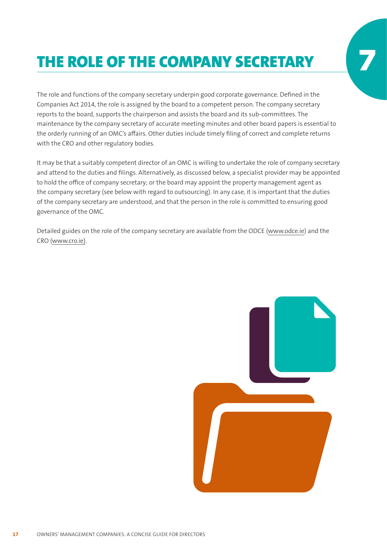# THE ROLE OF THE COMPANY SECRETARY

The role and functions of the company secretary underpin good corporate governance. Defined in the Companies Act 2014, the role is assigned by the board to a competent person. The company secretary reports to the board, supports the chairperson and assists the board and its sub-committees. The maintenance by the company secretary of accurate meeting minutes and other board papers is essential to the orderly running of an OMC's affairs. Other duties include timely filing of correct and complete returns with the CRO and other regulatory bodies.

It may be that a suitably competent director of an OMC is willing to undertake the role of company secretary and attend to the duties and filings. Alternatively, as discussed below, a specialist provider may be appointed to hold the office of company secretary; or the board may appoint the property management agent as the company secretary (see below with regard to outsourcing). In any case, it is important that the duties of the company secretary are understood, and that the person in the role is committed to ensuring good governance of the OMC.

Detailed guides on the role of the company secretary are available from the ODCE (www.odce.ie) and the CRO (www.cro.ie).

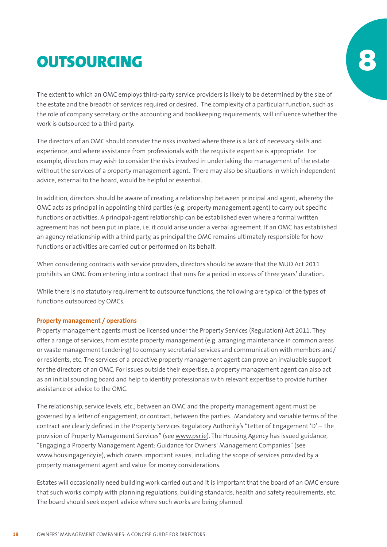# **OUTSOURCING**

The extent to which an OMC employs third-party service providers is likely to be determined by the size of the estate and the breadth of services required or desired. The complexity of a particular function, such as the role of company secretary, or the accounting and bookkeeping requirements, will influence whether the work is outsourced to a third party.

The directors of an OMC should consider the risks involved where there is a lack of necessary skills and experience, and where assistance from professionals with the requisite expertise is appropriate. For example, directors may wish to consider the risks involved in undertaking the management of the estate without the services of a property management agent. There may also be situations in which independent advice, external to the board, would be helpful or essential.

In addition, directors should be aware of creating a relationship between principal and agent, whereby the OMC acts as principal in appointing third parties (e.g. property management agent) to carry out specific functions or activities. A principal-agent relationship can be established even where a formal written agreement has not been put in place, i.e. it could arise under a verbal agreement. If an OMC has established an agency relationship with a third party, as principal the OMC remains ultimately responsible for how functions or activities are carried out or performed on its behalf.

When considering contracts with service providers, directors should be aware that the MUD Act 2011 prohibits an OMC from entering into a contract that runs for a period in excess of three years' duration.

While there is no statutory requirement to outsource functions, the following are typical of the types of functions outsourced by OMCs.

#### **Property management / operations**

Property management agents must be licensed under the Property Services (Regulation) Act 2011. They offer a range of services, from estate property management (e.g. arranging maintenance in common areas or waste management tendering) to company secretarial services and communication with members and/ or residents, etc. The services of a proactive property management agent can prove an invaluable support for the directors of an OMC. For issues outside their expertise, a property management agent can also act as an initial sounding board and help to identify professionals with relevant expertise to provide further assistance or advice to the OMC.

The relationship, service levels, etc., between an OMC and the property management agent must be governed by a letter of engagement, or contract, between the parties. Mandatory and variable terms of the contract are clearly defined in the Property Services Regulatory Authority's "Letter of Engagement 'D' – The provision of Property Management Services" (see www.psr.ie). The Housing Agency has issued guidance, "Engaging a Property Management Agent: Guidance for Owners' Management Companies" (see www.housingagency.ie), which covers important issues, including the scope of services provided by a property management agent and value for money considerations.

Estates will occasionally need building work carried out and it is important that the board of an OMC ensure that such works comply with planning regulations, building standards, health and safety requirements, etc. The board should seek expert advice where such works are being planned.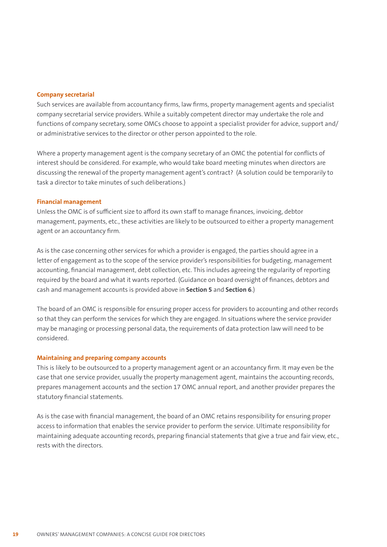#### **Company secretarial**

Such services are available from accountancy firms, law firms, property management agents and specialist company secretarial service providers. While a suitably competent director may undertake the role and functions of company secretary, some OMCs choose to appoint a specialist provider for advice, support and/ or administrative services to the director or other person appointed to the role.

Where a property management agent is the company secretary of an OMC the potential for conflicts of interest should be considered. For example, who would take board meeting minutes when directors are discussing the renewal of the property management agent's contract? (A solution could be temporarily to task a director to take minutes of such deliberations.)

#### **Financial management**

Unless the OMC is of sufficient size to afford its own staff to manage finances, invoicing, debtor management, payments, etc., these activities are likely to be outsourced to either a property management agent or an accountancy firm.

As is the case concerning other services for which a provider is engaged, the parties should agree in a letter of engagement as to the scope of the service provider's responsibilities for budgeting, management accounting, financial management, debt collection, etc. This includes agreeing the regularity of reporting required by the board and what it wants reported. (Guidance on board oversight of finances, debtors and cash and management accounts is provided above in **Section 5** and **Section 6**.)

The board of an OMC is responsible for ensuring proper access for providers to accounting and other records so that they can perform the services for which they are engaged. In situations where the service provider may be managing or processing personal data, the requirements of data protection law will need to be considered.

#### **Maintaining and preparing company accounts**

This is likely to be outsourced to a property management agent or an accountancy firm. It may even be the case that one service provider, usually the property management agent, maintains the accounting records, prepares management accounts and the section 17 OMC annual report, and another provider prepares the statutory financial statements.

As is the case with financial management, the board of an OMC retains responsibility for ensuring proper access to information that enables the service provider to perform the service. Ultimate responsibility for maintaining adequate accounting records, preparing financial statements that give a true and fair view, etc., rests with the directors.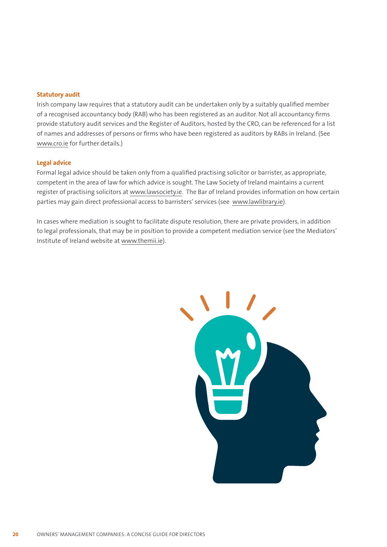#### **Statutory audit**

Irish company law requires that a statutory audit can be undertaken only by a suitably qualified member of a recognised accountancy body (RAB) who has been registered as an auditor. Not all accountancy firms provide statutory audit services and the Register of Auditors, hosted by the CRO, can be referenced for a list of names and addresses of persons or firms who have been registered as auditors by RABs in Ireland. (See www.cro.ie for further details.)

#### **Legal advice**

Formal legal advice should be taken only from a qualified practising solicitor or barrister, as appropriate, competent in the area of law for which advice is sought. The Law Society of Ireland maintains a current register of practising solicitors at www.lawsociety.ie. The Bar of Ireland provides information on how certain parties may gain direct professional access to barristers' services (see www.lawlibrary.ie).

In cases where mediation is sought to facilitate dispute resolution, there are private providers, in addition to legal professionals, that may be in position to provide a competent mediation service (see the Mediators' Institute of Ireland website at www.themii.ie).

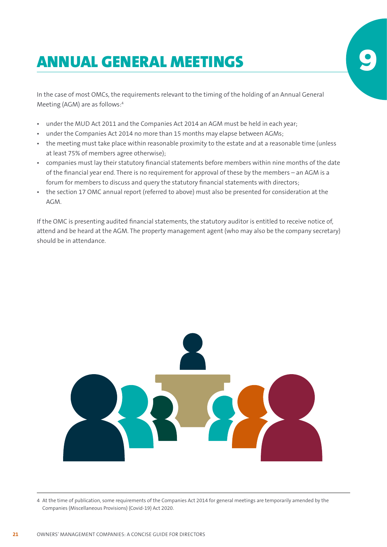## ANNUAL GENERAL MEETINGS 9

In the case of most OMCs, the requirements relevant to the timing of the holding of an Annual General Meeting (AGM) are as follows:4

- **•** under the MUD Act 2011 and the Companies Act 2014 an AGM must be held in each year;
- **•** under the Companies Act 2014 no more than 15 months may elapse between AGMs;
- **•** the meeting must take place within reasonable proximity to the estate and at a reasonable time (unless at least 75% of members agree otherwise);
- **•** companies must lay their statutory financial statements before members within nine months of the date of the financial year end. There is no requirement for approval of these by the members – an AGM is a forum for members to discuss and query the statutory financial statements with directors;
- **•** the section 17 OMC annual report (referred to above) must also be presented for consideration at the AGM.

If the OMC is presenting audited financial statements, the statutory auditor is entitled to receive notice of, attend and be heard at the AGM. The property management agent (who may also be the company secretary) should be in attendance.



4 At the time of publication, some requirements of the Companies Act 2014 for general meetings are temporarily amended by the Companies (Miscellaneous Provisions) (Covid-19) Act 2020.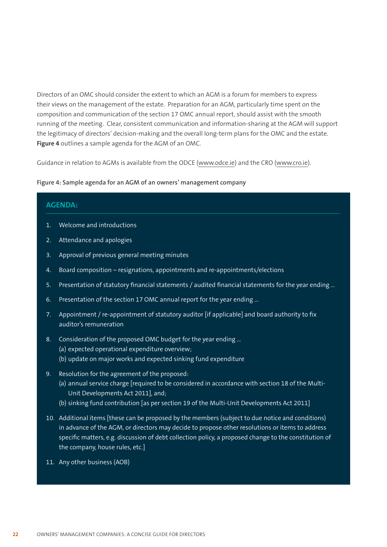Directors of an OMC should consider the extent to which an AGM is a forum for members to express their views on the management of the estate. Preparation for an AGM, particularly time spent on the composition and communication of the section 17 OMC annual report, should assist with the smooth running of the meeting. Clear, consistent communication and information-sharing at the AGM will support the legitimacy of directors' decision-making and the overall long-term plans for the OMC and the estate. **Figure 4** outlines a sample agenda for the AGM of an OMC.

Guidance in relation to AGMs is available from the ODCE (www.odce.ie) and the CRO (www.cro.ie).

#### **Figure 4: Sample agenda for an AGM of an owners' management company**

| <b>AGENDA:</b> |                                                                                                                                                                                        |  |
|----------------|----------------------------------------------------------------------------------------------------------------------------------------------------------------------------------------|--|
| $\mathbf{1}$ . | Welcome and introductions                                                                                                                                                              |  |
| 2.             | Attendance and apologies                                                                                                                                                               |  |
| 3.             | Approval of previous general meeting minutes                                                                                                                                           |  |
| 4.             | Board composition - resignations, appointments and re-appointments/elections                                                                                                           |  |
| 5.             | Presentation of statutory financial statements / audited financial statements for the year ending                                                                                      |  |
| 6.             | Presentation of the section 17 OMC annual report for the year ending                                                                                                                   |  |
| 7.             | Appointment / re-appointment of statutory auditor [if applicable] and board authority to fix<br>auditor's remuneration                                                                 |  |
| 8.             | Consideration of the proposed OMC budget for the year ending<br>(a) expected operational expenditure overview;<br>(b) update on major works and expected sinking fund expenditure      |  |
| 9.             | Resolution for the agreement of the proposed:<br>(a) annual service charge [required to be considered in accordance with section 18 of the Multi-<br>Unit Developments Act 2011], and; |  |

- (b) sinking fund contribution [as per section 19 of the Multi-Unit Developments Act 2011]
- 10. Additional items [these can be proposed by the members (subject to due notice and conditions) in advance of the AGM, or directors may decide to propose other resolutions or items to address specific matters, e.g. discussion of debt collection policy, a proposed change to the constitution of the company, house rules, etc.]
- 11. Any other business (AOB)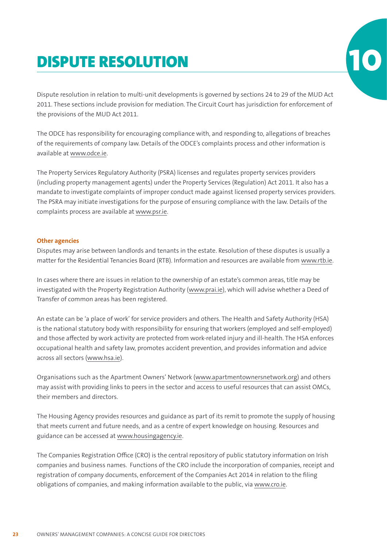## DISPUTE RESOLUTION

Dispute resolution in relation to multi-unit developments is governed by sections 24 to 29 of the MUD Act 2011. These sections include provision for mediation. The Circuit Court has jurisdiction for enforcement of the provisions of the MUD Act 2011.

The ODCE has responsibility for encouraging compliance with, and responding to, allegations of breaches of the requirements of company law. Details of the ODCE's complaints process and other information is available at www.odce.ie.

The Property Services Regulatory Authority (PSRA) licenses and regulates property services providers (including property management agents) under the Property Services (Regulation) Act 2011. It also has a mandate to investigate complaints of improper conduct made against licensed property services providers. The PSRA may initiate investigations for the purpose of ensuring compliance with the law. Details of the complaints process are available at www.psr.ie.

#### **Other agencies**

Disputes may arise between landlords and tenants in the estate. Resolution of these disputes is usually a matter for the Residential Tenancies Board (RTB). Information and resources are available from www.rtb.ie.

In cases where there are issues in relation to the ownership of an estate's common areas, title may be investigated with the Property Registration Authority (www.prai.ie), which will advise whether a Deed of Transfer of common areas has been registered.

An estate can be 'a place of work' for service providers and others. The Health and Safety Authority (HSA) is the national statutory body with responsibility for ensuring that workers (employed and self-employed) and those affected by work activity are protected from work-related injury and ill-health. The HSA enforces occupational health and safety law, promotes accident prevention, and provides information and advice across all sectors (www.hsa.ie).

Organisations such as the Apartment Owners' Network (www.apartmentownersnetwork.org) and others may assist with providing links to peers in the sector and access to useful resources that can assist OMCs, their members and directors.

The Housing Agency provides resources and guidance as part of its remit to promote the supply of housing that meets current and future needs, and as a centre of expert knowledge on housing. Resources and guidance can be accessed at www.housingagency.ie.

The Companies Registration Office (CRO) is the central repository of public statutory information on Irish companies and business names. Functions of the CRO include the incorporation of companies, receipt and registration of company documents, enforcement of the Companies Act 2014 in relation to the filing obligations of companies, and making information available to the public, via www.cro.ie.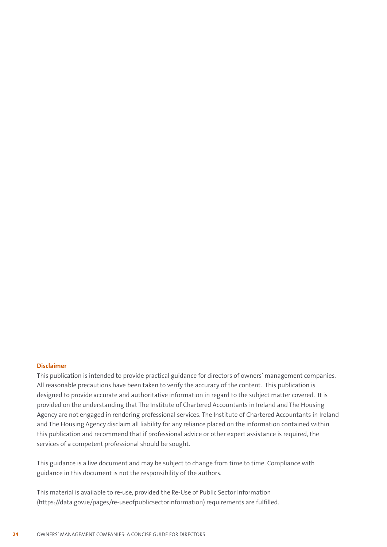#### **Disclaimer**

This publication is intended to provide practical guidance for directors of owners' management companies. All reasonable precautions have been taken to verify the accuracy of the content. This publication is designed to provide accurate and authoritative information in regard to the subject matter covered. It is provided on the understanding that The Institute of Chartered Accountants in Ireland and The Housing Agency are not engaged in rendering professional services. The Institute of Chartered Accountants in Ireland and The Housing Agency disclaim all liability for any reliance placed on the information contained within this publication and recommend that if professional advice or other expert assistance is required, the services of a competent professional should be sought.

This guidance is a live document and may be subject to change from time to time. Compliance with guidance in this document is not the responsibility of the authors.

This material is available to re-use, provided the Re-Use of Public Sector Information (https://data.gov.ie/pages/re-useofpublicsectorinformation) requirements are fulfilled.